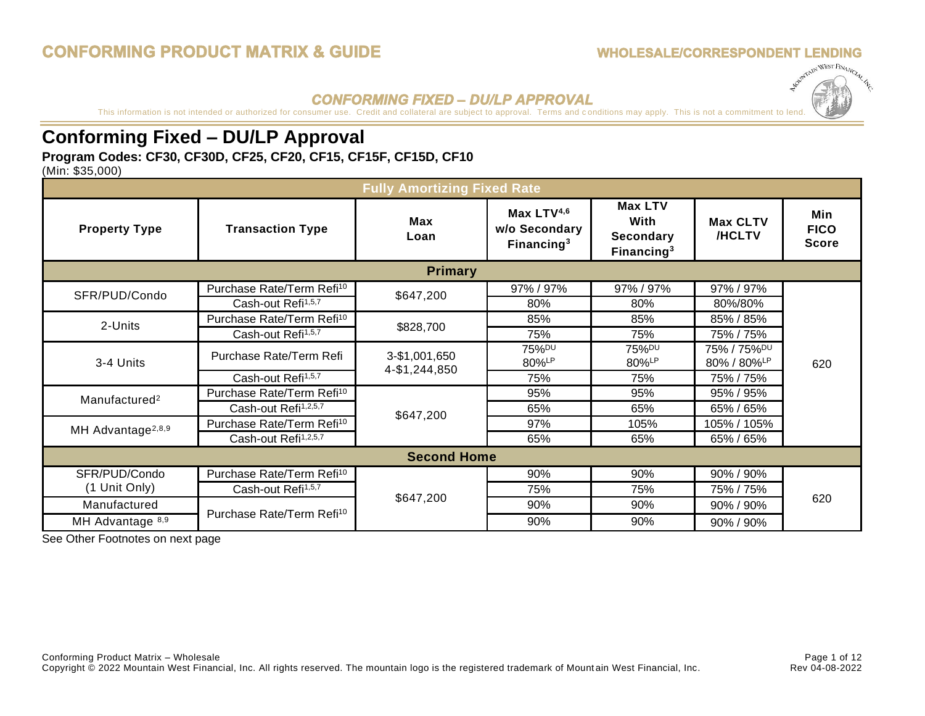### **WHOLESALE/CORRESPONDENT LENDING**



## **CONFORMING FIXED - DU/LP APPROVAL**

This information is not intended or authorized for consumer use. Credit and collateral are subject to approval. Terms and conditions may apply. This is not a commitment to [lend.](http://mymwf.com/download.php?f=Logo-03.jpg&fc=Logo-03.jpg)

## **Conforming Fixed – DU/LP Approval**

## **Program Codes: CF30, CF30D, CF25, CF20, CF15, CF15F, CF15D, CF10**

(Min: \$35,000)

| <b>Fully Amortizing Fixed Rate</b> |                                       |                                |                                                          |                                                             |                           |                                    |
|------------------------------------|---------------------------------------|--------------------------------|----------------------------------------------------------|-------------------------------------------------------------|---------------------------|------------------------------------|
| <b>Property Type</b>               | <b>Transaction Type</b>               | <b>Max</b><br>Loan             | Max LTV <sup>4,6</sup><br>w/o Secondary<br>Financing $3$ | <b>Max LTV</b><br>With<br><b>Secondary</b><br>Financing $3$ | <b>Max CLTV</b><br>/HCLTV | Min<br><b>FICO</b><br><b>Score</b> |
|                                    |                                       | <b>Primary</b>                 |                                                          |                                                             |                           |                                    |
| SFR/PUD/Condo                      | Purchase Rate/Term Refi <sup>10</sup> | \$647,200                      | 97% / 97%                                                | 97% / 97%                                                   | 97% / 97%                 |                                    |
|                                    | Cash-out Refi <sup>1,5,7</sup>        |                                | 80%                                                      | 80%                                                         | 80%/80%                   |                                    |
| 2-Units                            | Purchase Rate/Term Refi <sup>10</sup> |                                | 85%                                                      | 85%                                                         | 85% / 85%                 |                                    |
|                                    | Cash-out Refi <sup>1,5,7</sup>        | \$828,700                      | 75%                                                      | 75%                                                         | 75% / 75%                 | 620                                |
|                                    | Purchase Rate/Term Refi               | 3-\$1,001,650<br>4-\$1,244,850 | 75% <sup>DU</sup>                                        | 75% <sup>DU</sup>                                           | 75% / 75% <sup>DU</sup>   |                                    |
| 3-4 Units                          |                                       |                                | 80%LP                                                    | 80%LP                                                       | 80% / 80%LP               |                                    |
|                                    | Cash-out Refi <sup>1,5,7</sup>        |                                | 75%                                                      | 75%                                                         | 75% / 75%                 |                                    |
| Manufactured <sup>2</sup>          | Purchase Rate/Term Refi <sup>10</sup> |                                | 95%                                                      | 95%                                                         | 95% / 95%                 |                                    |
|                                    | Cash-out Refi <sup>1,2,5,7</sup>      | \$647,200                      | 65%                                                      | 65%                                                         | 65% / 65%                 |                                    |
| MH Advantage <sup>2,8,9</sup>      | Purchase Rate/Term Refi <sup>10</sup> |                                | 97%                                                      | 105%                                                        | 105% / 105%               |                                    |
|                                    | Cash-out Refi <sup>1,2,5,7</sup>      |                                | 65%                                                      | 65%                                                         | 65% / 65%                 |                                    |
| <b>Second Home</b>                 |                                       |                                |                                                          |                                                             |                           |                                    |
| SFR/PUD/Condo                      | Purchase Rate/Term Refi <sup>10</sup> |                                | 90%                                                      | 90%                                                         | 90% / 90%                 |                                    |
| (1 Unit Only)                      | Cash-out Refi <sup>1,5,7</sup>        |                                | 75%                                                      | 75%                                                         | 75% / 75%                 |                                    |
| Manufactured                       |                                       | \$647,200                      | 90%                                                      | 90%                                                         | 90% / 90%                 | 620                                |
| MH Advantage 8,9                   | Purchase Rate/Term Refi <sup>10</sup> |                                | 90%                                                      | 90%                                                         | 90% / 90%                 |                                    |

See Other Footnotes on next page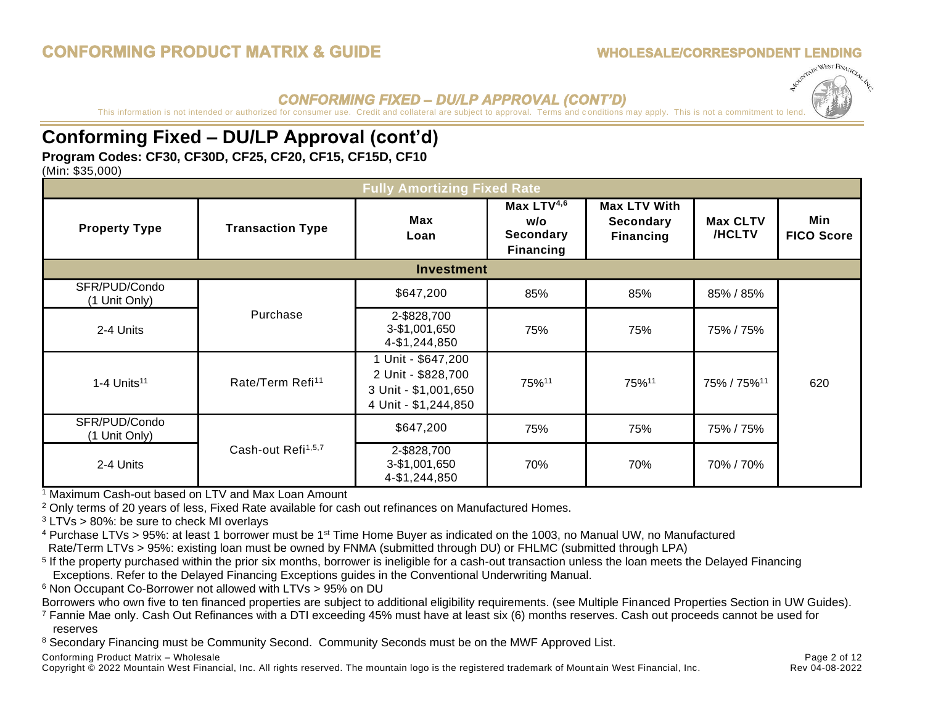## **CONFORMING PRODUCT MATRIX & GUIDE**

## **WHOLESALE/CORRESPONDENT LENDING**



## **CONFORMING FIXED - DU/LP APPROVAL (CONT'D)**

This information is not intended or authorized for consumer use. Credit and collateral are subject to approval. Terms and conditions may apply. This is not a commitment to le

## **Conforming Fixed – DU/LP Approval (cont'd)**

## **Program Codes: CF30, CF30D, CF25, CF20, CF15, CF15D, CF10**

(Min: \$35,000)

| <b>Fully Amortizing Fixed Rate</b> |                                |                                                                                        |                                                                       |                                                             |                                  |                          |
|------------------------------------|--------------------------------|----------------------------------------------------------------------------------------|-----------------------------------------------------------------------|-------------------------------------------------------------|----------------------------------|--------------------------|
| <b>Property Type</b>               | <b>Transaction Type</b>        | Max<br>Loan                                                                            | Max LTV <sup>4,6</sup><br>w/o<br><b>Secondary</b><br><b>Financing</b> | <b>Max LTV With</b><br><b>Secondary</b><br><b>Financing</b> | <b>Max CLTV</b><br><b>/HCLTV</b> | Min<br><b>FICO Score</b> |
|                                    |                                | <b>Investment</b>                                                                      |                                                                       |                                                             |                                  |                          |
| SFR/PUD/Condo<br>(1 Unit Only)     |                                | \$647,200                                                                              | 85%                                                                   | 85%                                                         | 85% / 85%                        |                          |
| 2-4 Units                          | Purchase                       | 2-\$828,700<br>3-\$1,001,650<br>4-\$1,244,850                                          | 75%                                                                   | 75%                                                         | 75% / 75%                        |                          |
| $1-4$ Units <sup>11</sup>          | Rate/Term Refi <sup>11</sup>   | Unit - \$647,200<br>2 Unit - \$828,700<br>3 Unit - \$1,001,650<br>4 Unit - \$1,244,850 | 75%11                                                                 | 75%11                                                       | 75% / 75% <sup>11</sup>          | 620                      |
| SFR/PUD/Condo<br>(1 Unit Only)     |                                | \$647,200                                                                              | 75%                                                                   | 75%                                                         | 75% / 75%                        |                          |
| 2-4 Units                          | Cash-out Refi <sup>1,5,7</sup> | 2-\$828,700<br>3-\$1,001,650<br>4-\$1,244,850                                          | 70%                                                                   | 70%                                                         | 70% / 70%                        |                          |

<sup>1</sup> Maximum Cash-out based on LTV and Max Loan Amount

<sup>2</sup> Only terms of 20 years of less, Fixed Rate available for cash out refinances on Manufactured Homes.

 $3$  LTVs > 80%: be sure to check MI overlays

<sup>4</sup> Purchase LTVs > 95%: at least 1 borrower must be 1st Time Home Buyer as indicated on the 1003, no Manual UW, no Manufactured Rate/Term LTVs > 95%: existing loan must be owned by FNMA (submitted through DU) or FHLMC (submitted through LPA)

<sup>5</sup> If the property purchased within the prior six months, borrower is ineligible for a cash-out transaction unless the loan meets the Delayed Financing Exceptions. Refer to the Delayed Financing Exceptions guides in the Conventional Underwriting Manual.

<sup>6</sup> Non Occupant Co-Borrower not allowed with LTVs > 95% on DU

Borrowers who own five to ten financed properties are subject to additional eligibility requirements. (see Multiple Financed Properties Section in UW Guides).

<sup>7</sup> Fannie Mae only. Cash Out Refinances with a DTI exceeding 45% must have at least six (6) months reserves. Cash out proceeds cannot be used for reserves

<sup>8</sup> Secondary Financing must be Community Second. Community Seconds must be on the MWF Approved List.

Conforming Product Matrix – Wholesale **Page 2 of 12** and the Page 2 of 12

Copyright © 2022 Mountain West Financial, Inc. All rights reserved. The mountain logo is the registered trademark of Mount ain West Financial, Inc. Rev 04-08-2022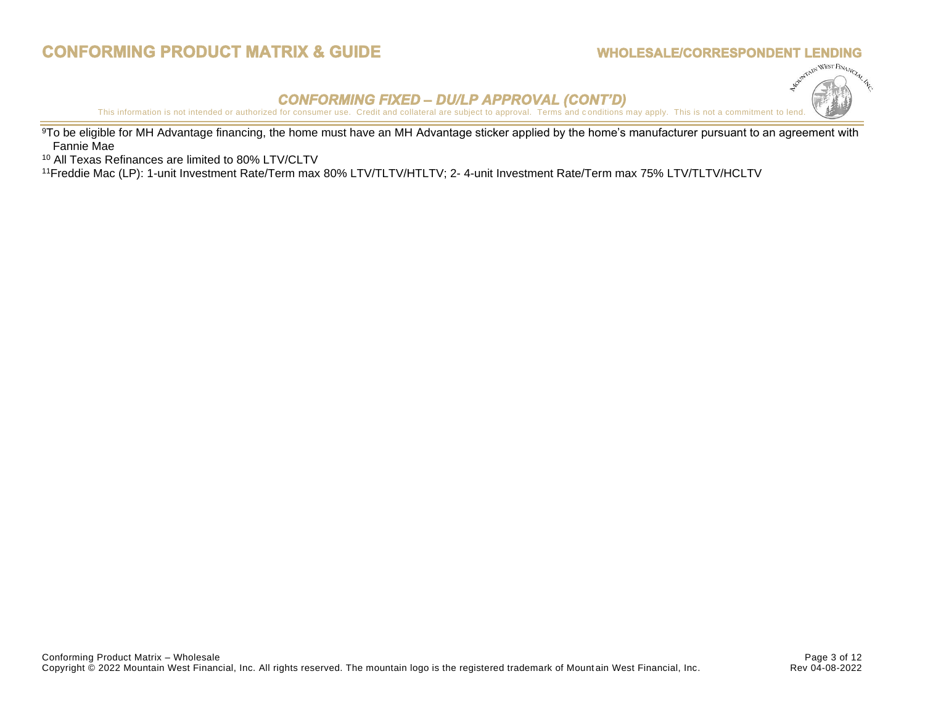## **CONFORMING PRODUCT MATRIX & GUIDE**

### **WHOLESALE/CORRESPONDENT LENDING**



**CONFORMING FIXED - DU/LP APPROVAL (CONT'D)**<br>This information is not intended or authorized for consumer use. Credit and collateral are subject to approval. Terms and conditions may apply. This is not a commitment to [lend.](http://mymwf.com/download.php?f=Logo-03.jpg&fc=Logo-03.jpg)

<sup>9</sup>To be eligible for MH Advantage financing, the home must have an MH Advantage sticker applied by the home's manufacturer pursuant to an agreement with Fannie Mae

<sup>10</sup> All Texas Refinances are limited to 80% LTV/CLTV

<sup>11</sup>Freddie Mac (LP): 1-unit Investment Rate/Term max 80% LTV/TLTV/HTLTV; 2- 4-unit Investment Rate/Term max 75% LTV/TLTV/HCLTV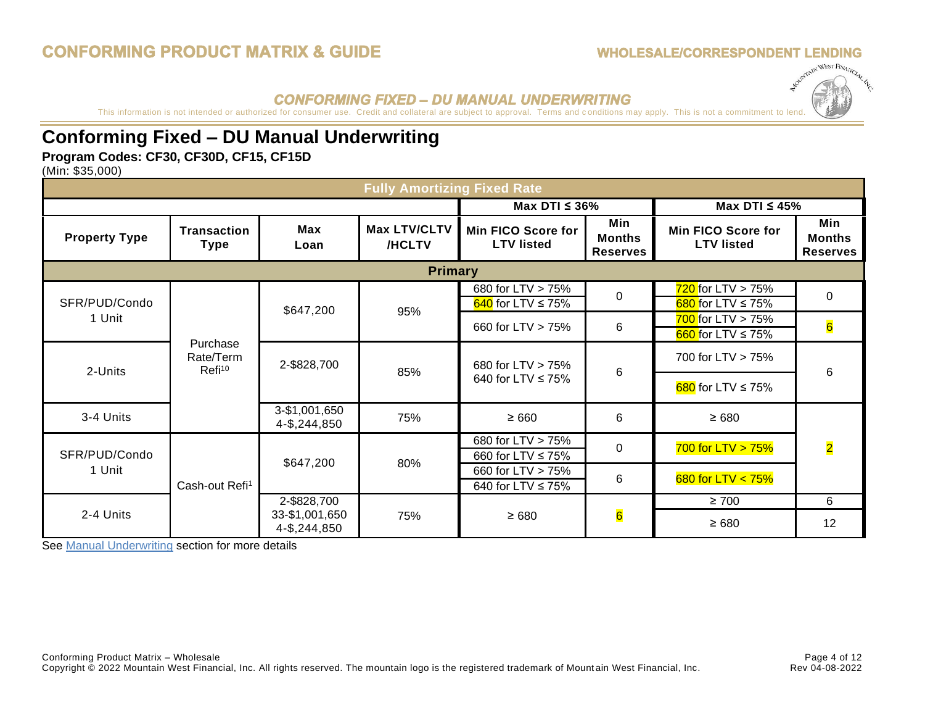### **WHOLESALE/CORRESPONDENT LENDING**



## **CONFORMING FIXED - DU MANUAL UNDERWRITING**

This information is not intended or authorized for consumer use. Credit and collateral are subject to approval. Terms and conditions may apply. This is not a commitment to [lend.](http://mymwf.com/download.php?f=Logo-03.jpg&fc=Logo-03.jpg)

## **Conforming Fixed – DU Manual Underwriting**

## **Program Codes: CF30, CF30D, CF15, CF15D**

(Min: \$35,000)

| <b>Fully Amortizing Fixed Rate</b> |                                                                                                                  |                                |                        |                                                |                                  |                                                  |                                         |
|------------------------------------|------------------------------------------------------------------------------------------------------------------|--------------------------------|------------------------|------------------------------------------------|----------------------------------|--------------------------------------------------|-----------------------------------------|
|                                    |                                                                                                                  |                                | Max DTI $\leq$ 36%     |                                                | Max DTI $\leq 45\%$              |                                                  |                                         |
| <b>Property Type</b>               | <b>Transaction</b><br><b>Type</b>                                                                                | Max<br>Loan                    | Max LTV/CLTV<br>/HCLTV | Min FICO Score for<br><b>LTV listed</b>        | Min<br>Months<br><b>Reserves</b> | <b>Min FICO Score for</b><br><b>LTV listed</b>   | Min<br><b>Months</b><br><b>Reserves</b> |
|                                    |                                                                                                                  |                                | <b>Primary</b>         |                                                |                                  |                                                  |                                         |
| SFR/PUD/Condo                      |                                                                                                                  |                                |                        | 680 for LTV > 75%<br>$640$ for LTV $\leq 75\%$ | $\Omega$                         | $720$ for LTV > 75%<br>680 for LTV $\leq$ 75%    | $\Omega$                                |
| 1 Unit                             |                                                                                                                  | \$647,200                      | 95%                    | 660 for LTV > 75%                              | 6                                | $700$ for LTV > 75%<br>$660$ for LTV $\leq 75\%$ | $6\overline{6}$                         |
| 2-Units                            | Purchase<br>Rate/Term<br>2-\$828,700<br>680 for LTV > 75%<br>Refi <sup>10</sup><br>85%<br>640 for LTV $\leq$ 75% |                                | 6                      | 700 for LTV > 75%                              | 6                                |                                                  |                                         |
|                                    |                                                                                                                  |                                |                        |                                                |                                  | $680$ for LTV $\leq 75\%$                        |                                         |
| 3-4 Units                          |                                                                                                                  | 3-\$1,001,650<br>4-\$,244,850  | 75%                    | $\geq 660$                                     | 6                                | $\geq 680$                                       |                                         |
| SFR/PUD/Condo                      |                                                                                                                  | \$647,200                      | 80%                    | 680 for LTV > 75%<br>660 for LTV ≤ 75%         | $\Omega$                         | $700$ for LTV $> 75%$                            | $\overline{\mathbf{2}}$                 |
| 1 Unit                             | Cash-out Refi <sup>1</sup>                                                                                       |                                |                        | 660 for LTV > 75%<br>640 for LTV ≤ 75%         | 6                                | $680$ for LTV $<$ 75%                            |                                         |
|                                    |                                                                                                                  | 2-\$828,700                    |                        |                                                |                                  | $\geq 700$                                       | 6                                       |
| 2-4 Units                          |                                                                                                                  | 33-\$1,001,650<br>4-\$,244,850 | 75%                    | $\geq 680$                                     | $6\overline{6}$                  | $\geq 680$                                       | 12                                      |

See [Manual Underwriting](#page-7-0) section for more details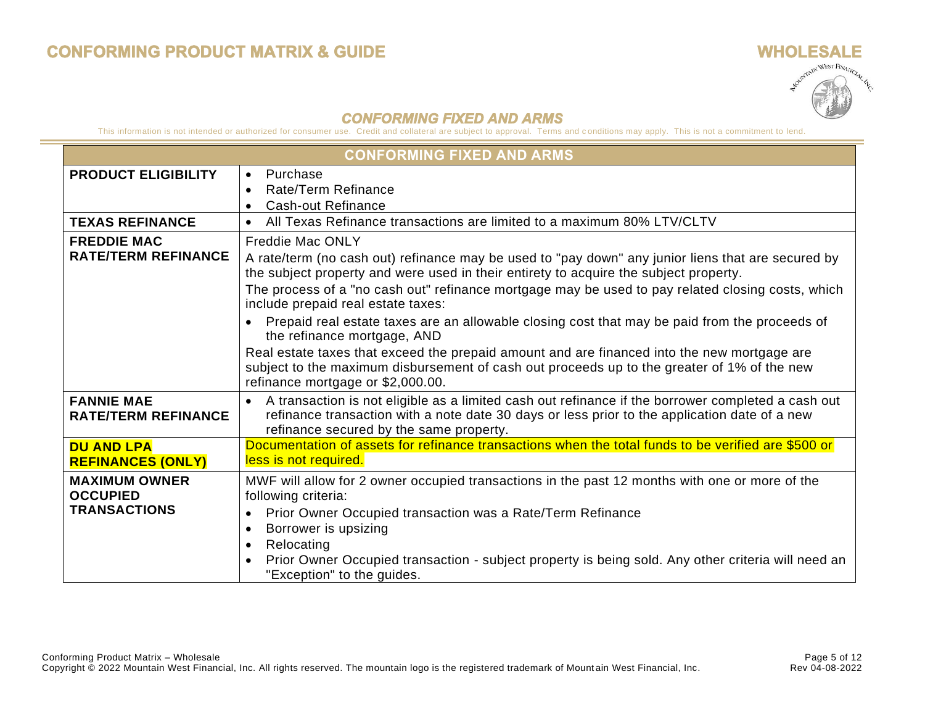$\sim$ 



### **CONFORMING FIXED AND ARMS**

|                                                                | <b>CONFORMING FIXED AND ARMS</b>                                                                                                                                                                                                                                                                                                                                  |  |  |  |
|----------------------------------------------------------------|-------------------------------------------------------------------------------------------------------------------------------------------------------------------------------------------------------------------------------------------------------------------------------------------------------------------------------------------------------------------|--|--|--|
| <b>PRODUCT ELIGIBILITY</b>                                     | Purchase<br>$\bullet$<br>Rate/Term Refinance<br><b>Cash-out Refinance</b><br>$\bullet$                                                                                                                                                                                                                                                                            |  |  |  |
| <b>TEXAS REFINANCE</b>                                         | All Texas Refinance transactions are limited to a maximum 80% LTV/CLTV                                                                                                                                                                                                                                                                                            |  |  |  |
| <b>FREDDIE MAC</b><br><b>RATE/TERM REFINANCE</b>               | <b>Freddie Mac ONLY</b><br>A rate/term (no cash out) refinance may be used to "pay down" any junior liens that are secured by<br>the subject property and were used in their entirety to acquire the subject property.<br>The process of a "no cash out" refinance mortgage may be used to pay related closing costs, which<br>include prepaid real estate taxes: |  |  |  |
|                                                                | Prepaid real estate taxes are an allowable closing cost that may be paid from the proceeds of<br>the refinance mortgage, AND<br>Real estate taxes that exceed the prepaid amount and are financed into the new mortgage are<br>subject to the maximum disbursement of cash out proceeds up to the greater of 1% of the new<br>refinance mortgage or \$2,000.00.   |  |  |  |
| <b>FANNIE MAE</b><br><b>RATE/TERM REFINANCE</b>                | A transaction is not eligible as a limited cash out refinance if the borrower completed a cash out<br>refinance transaction with a note date 30 days or less prior to the application date of a new<br>refinance secured by the same property.                                                                                                                    |  |  |  |
| <b>DU AND LPA</b><br><b>REFINANCES (ONLY)</b>                  | Documentation of assets for refinance transactions when the total funds to be verified are \$500 or<br>less is not required.                                                                                                                                                                                                                                      |  |  |  |
| <b>MAXIMUM OWNER</b><br><b>OCCUPIED</b><br><b>TRANSACTIONS</b> | MWF will allow for 2 owner occupied transactions in the past 12 months with one or more of the<br>following criteria:<br>Prior Owner Occupied transaction was a Rate/Term Refinance<br>Borrower is upsizing<br>$\bullet$<br>Relocating<br>$\bullet$<br>Prior Owner Occupied transaction - subject property is being sold. Any other criteria will need an         |  |  |  |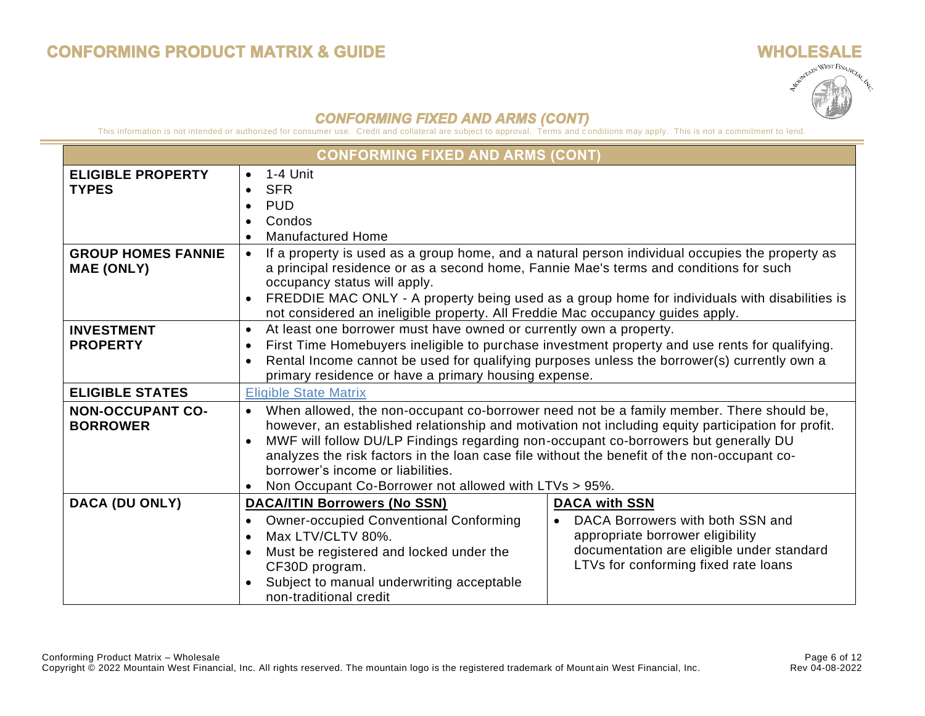# **WHOLESALE** Apoptrain WEST FINANCIAL AS

### **CONFORMING FIXED AND ARMS (CONT)**

|                                                | <b>CONFORMING FIXED AND ARMS (CONT)</b>                                                                                                                                                                                                                                                                                                                                                                                                                                                                                   |                                                                                                                                                                                                                                                                                           |  |  |  |
|------------------------------------------------|---------------------------------------------------------------------------------------------------------------------------------------------------------------------------------------------------------------------------------------------------------------------------------------------------------------------------------------------------------------------------------------------------------------------------------------------------------------------------------------------------------------------------|-------------------------------------------------------------------------------------------------------------------------------------------------------------------------------------------------------------------------------------------------------------------------------------------|--|--|--|
| <b>ELIGIBLE PROPERTY</b><br><b>TYPES</b>       | 1-4 Unit<br>$\bullet$<br><b>SFR</b><br><b>PUD</b><br>Condos<br>$\bullet$<br><b>Manufactured Home</b><br>$\bullet$                                                                                                                                                                                                                                                                                                                                                                                                         |                                                                                                                                                                                                                                                                                           |  |  |  |
| <b>GROUP HOMES FANNIE</b><br><b>MAE (ONLY)</b> | occupancy status will apply.<br>$\bullet$<br>not considered an ineligible property. All Freddie Mac occupancy guides apply.                                                                                                                                                                                                                                                                                                                                                                                               | If a property is used as a group home, and a natural person individual occupies the property as<br>a principal residence or as a second home, Fannie Mae's terms and conditions for such<br>FREDDIE MAC ONLY - A property being used as a group home for individuals with disabilities is |  |  |  |
| <b>INVESTMENT</b><br><b>PROPERTY</b>           | At least one borrower must have owned or currently own a property.<br>$\bullet$<br>First Time Homebuyers ineligible to purchase investment property and use rents for qualifying.<br>$\bullet$<br>Rental Income cannot be used for qualifying purposes unless the borrower(s) currently own a<br>$\bullet$<br>primary residence or have a primary housing expense.                                                                                                                                                        |                                                                                                                                                                                                                                                                                           |  |  |  |
| <b>ELIGIBLE STATES</b>                         | <b>Eligible State Matrix</b>                                                                                                                                                                                                                                                                                                                                                                                                                                                                                              |                                                                                                                                                                                                                                                                                           |  |  |  |
| <b>NON-OCCUPANT CO-</b><br><b>BORROWER</b>     | When allowed, the non-occupant co-borrower need not be a family member. There should be,<br>$\bullet$<br>however, an established relationship and motivation not including equity participation for profit.<br>MWF will follow DU/LP Findings regarding non-occupant co-borrowers but generally DU<br>$\bullet$<br>analyzes the risk factors in the loan case file without the benefit of the non-occupant co-<br>borrower's income or liabilities.<br>Non Occupant Co-Borrower not allowed with LTVs > 95%.<br>$\bullet$ |                                                                                                                                                                                                                                                                                           |  |  |  |
| DACA (DU ONLY)                                 | <b>DACA/ITIN Borrowers (No SSN)</b><br><b>DACA with SSN</b>                                                                                                                                                                                                                                                                                                                                                                                                                                                               |                                                                                                                                                                                                                                                                                           |  |  |  |
|                                                | <b>Owner-occupied Conventional Conforming</b><br>Max LTV/CLTV 80%.<br>$\bullet$<br>Must be registered and locked under the<br>CF30D program.<br>Subject to manual underwriting acceptable<br>non-traditional credit                                                                                                                                                                                                                                                                                                       | DACA Borrowers with both SSN and<br>appropriate borrower eligibility<br>documentation are eligible under standard<br>LTVs for conforming fixed rate loans                                                                                                                                 |  |  |  |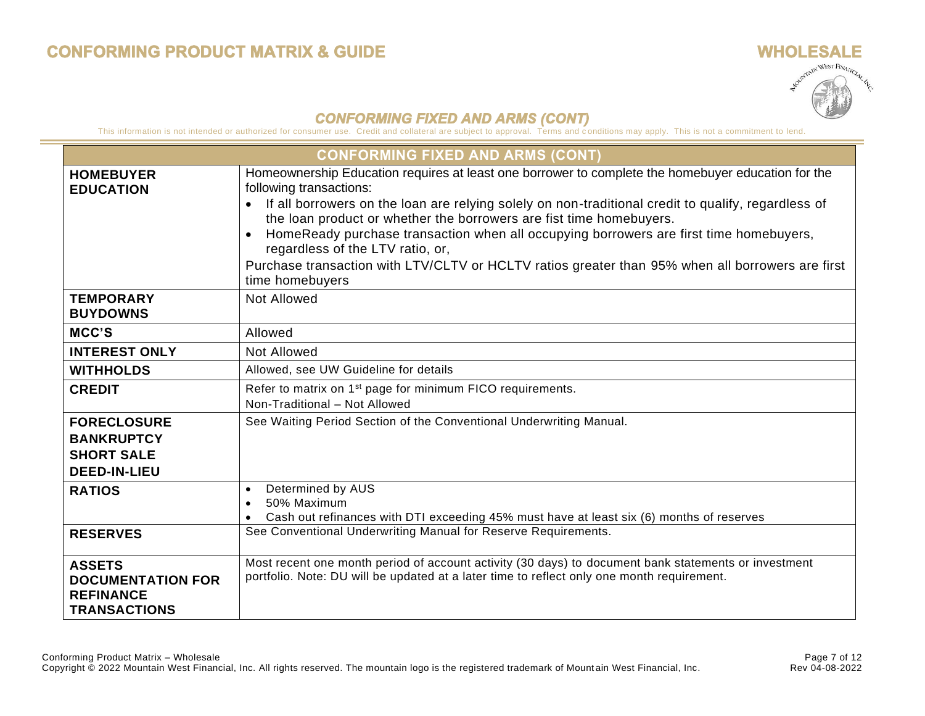

|                                                                                      | <b>CONFORMING FIXED AND ARMS (CONT)</b>                                                                                                                                                                                                                                                                                                                                                                                                                                                                                                                                                    |
|--------------------------------------------------------------------------------------|--------------------------------------------------------------------------------------------------------------------------------------------------------------------------------------------------------------------------------------------------------------------------------------------------------------------------------------------------------------------------------------------------------------------------------------------------------------------------------------------------------------------------------------------------------------------------------------------|
| <b>HOMEBUYER</b><br><b>EDUCATION</b>                                                 | Homeownership Education requires at least one borrower to complete the homebuyer education for the<br>following transactions:<br>If all borrowers on the loan are relying solely on non-traditional credit to qualify, regardless of<br>$\bullet$<br>the loan product or whether the borrowers are fist time homebuyers.<br>HomeReady purchase transaction when all occupying borrowers are first time homebuyers,<br>$\bullet$<br>regardless of the LTV ratio, or,<br>Purchase transaction with LTV/CLTV or HCLTV ratios greater than 95% when all borrowers are first<br>time homebuyers |
| <b>TEMPORARY</b><br><b>BUYDOWNS</b>                                                  | <b>Not Allowed</b>                                                                                                                                                                                                                                                                                                                                                                                                                                                                                                                                                                         |
| MCC'S                                                                                | Allowed                                                                                                                                                                                                                                                                                                                                                                                                                                                                                                                                                                                    |
| <b>INTEREST ONLY</b>                                                                 | <b>Not Allowed</b>                                                                                                                                                                                                                                                                                                                                                                                                                                                                                                                                                                         |
| <b>WITHHOLDS</b>                                                                     | Allowed, see UW Guideline for details                                                                                                                                                                                                                                                                                                                                                                                                                                                                                                                                                      |
| <b>CREDIT</b>                                                                        | Refer to matrix on 1 <sup>st</sup> page for minimum FICO requirements.<br>Non-Traditional - Not Allowed                                                                                                                                                                                                                                                                                                                                                                                                                                                                                    |
| <b>FORECLOSURE</b><br><b>BANKRUPTCY</b><br><b>SHORT SALE</b><br><b>DEED-IN-LIEU</b>  | See Waiting Period Section of the Conventional Underwriting Manual.                                                                                                                                                                                                                                                                                                                                                                                                                                                                                                                        |
| <b>RATIOS</b>                                                                        | Determined by AUS<br>$\bullet$<br>50% Maximum<br>Cash out refinances with DTI exceeding 45% must have at least six (6) months of reserves<br>$\bullet$                                                                                                                                                                                                                                                                                                                                                                                                                                     |
| <b>RESERVES</b>                                                                      | See Conventional Underwriting Manual for Reserve Requirements.                                                                                                                                                                                                                                                                                                                                                                                                                                                                                                                             |
| <b>ASSETS</b><br><b>DOCUMENTATION FOR</b><br><b>REFINANCE</b><br><b>TRANSACTIONS</b> | Most recent one month period of account activity (30 days) to document bank statements or investment<br>portfolio. Note: DU will be updated at a later time to reflect only one month requirement.                                                                                                                                                                                                                                                                                                                                                                                         |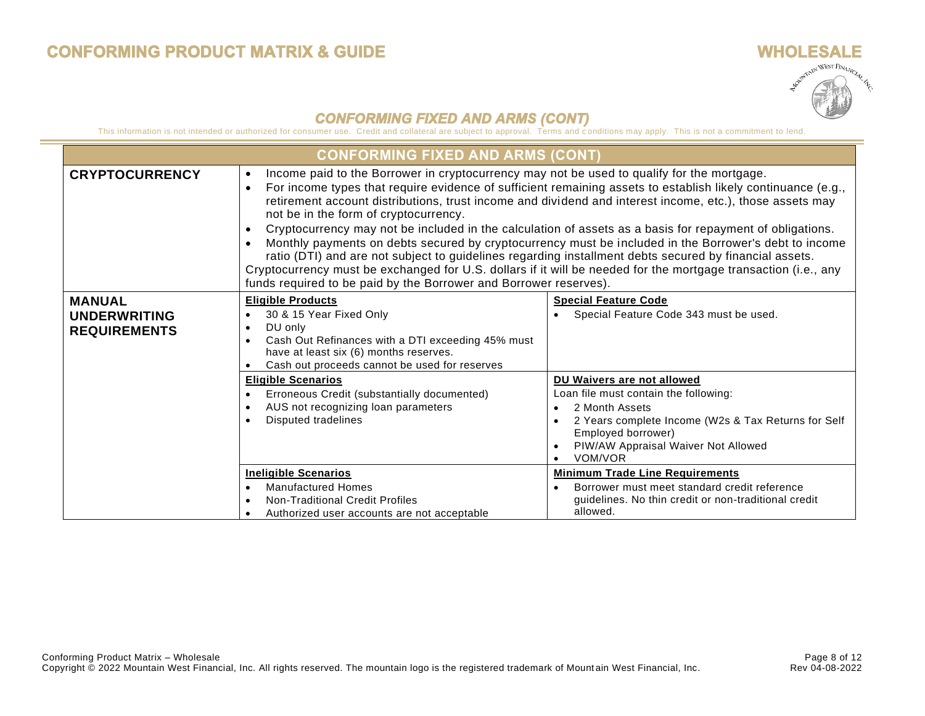$\sim$ 



<span id="page-7-0"></span>

|                                                             | <b>CONFORMING FIXED AND ARMS (CONT)</b>                                                                                                                                                                                                                                                                                                                                                                                                                                                                                                                                                                                                                                                                                                                                                                                                                                                                                      |                                                                                                                                                                                                                      |  |  |
|-------------------------------------------------------------|------------------------------------------------------------------------------------------------------------------------------------------------------------------------------------------------------------------------------------------------------------------------------------------------------------------------------------------------------------------------------------------------------------------------------------------------------------------------------------------------------------------------------------------------------------------------------------------------------------------------------------------------------------------------------------------------------------------------------------------------------------------------------------------------------------------------------------------------------------------------------------------------------------------------------|----------------------------------------------------------------------------------------------------------------------------------------------------------------------------------------------------------------------|--|--|
| <b>CRYPTOCURRENCY</b>                                       | Income paid to the Borrower in cryptocurrency may not be used to qualify for the mortgage.<br>$\bullet$<br>For income types that require evidence of sufficient remaining assets to establish likely continuance (e.g.,<br>$\bullet$<br>retirement account distributions, trust income and dividend and interest income, etc.), those assets may<br>not be in the form of cryptocurrency.<br>Cryptocurrency may not be included in the calculation of assets as a basis for repayment of obligations.<br>$\bullet$<br>Monthly payments on debts secured by cryptocurrency must be included in the Borrower's debt to income<br>ratio (DTI) and are not subject to guidelines regarding installment debts secured by financial assets.<br>Cryptocurrency must be exchanged for U.S. dollars if it will be needed for the mortgage transaction (i.e., any<br>funds required to be paid by the Borrower and Borrower reserves). |                                                                                                                                                                                                                      |  |  |
| <b>MANUAL</b><br><b>UNDERWRITING</b><br><b>REQUIREMENTS</b> | <b>Eligible Products</b><br>30 & 15 Year Fixed Only<br>DU only<br>$\bullet$<br>Cash Out Refinances with a DTI exceeding 45% must<br>have at least six (6) months reserves.<br>Cash out proceeds cannot be used for reserves                                                                                                                                                                                                                                                                                                                                                                                                                                                                                                                                                                                                                                                                                                  | <b>Special Feature Code</b><br>Special Feature Code 343 must be used.                                                                                                                                                |  |  |
|                                                             | <b>Eligible Scenarios</b><br>Erroneous Credit (substantially documented)<br>AUS not recognizing loan parameters<br>$\bullet$<br>Disputed tradelines                                                                                                                                                                                                                                                                                                                                                                                                                                                                                                                                                                                                                                                                                                                                                                          | DU Waivers are not allowed<br>Loan file must contain the following:<br>2 Month Assets<br>2 Years complete Income (W2s & Tax Returns for Self<br>Employed borrower)<br>PIW/AW Appraisal Waiver Not Allowed<br>VOM/VOR |  |  |
|                                                             | <b>Ineligible Scenarios</b><br><b>Manufactured Homes</b><br><b>Non-Traditional Credit Profiles</b><br>Authorized user accounts are not acceptable                                                                                                                                                                                                                                                                                                                                                                                                                                                                                                                                                                                                                                                                                                                                                                            | <b>Minimum Trade Line Requirements</b><br>Borrower must meet standard credit reference<br>quidelines. No thin credit or non-traditional credit<br>allowed.                                                           |  |  |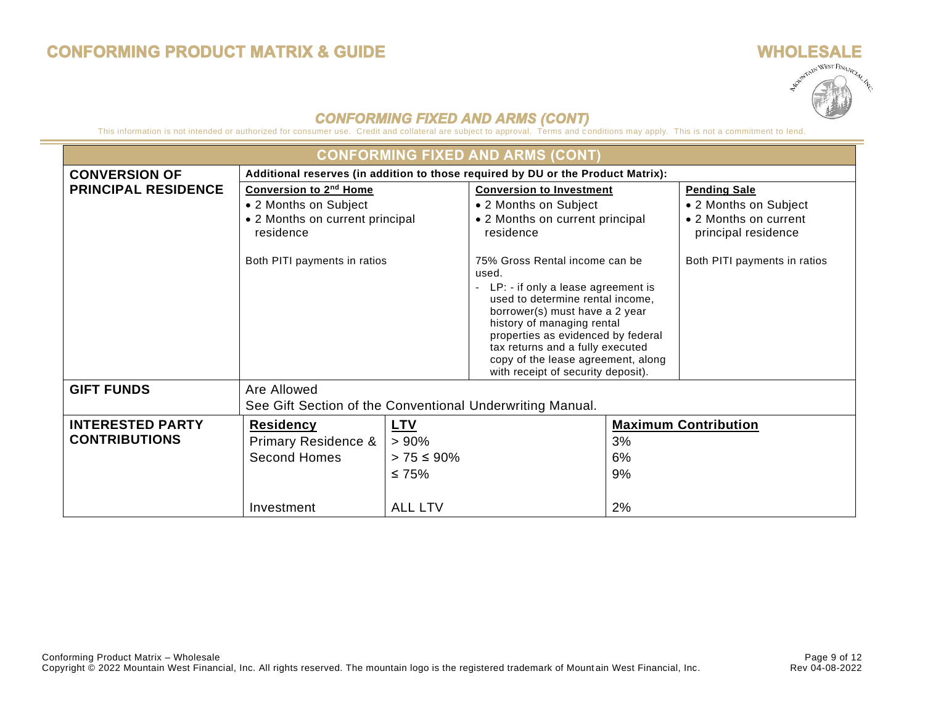## **WHOLESALE ULESALE** LAN

| <b>CONFORMING FIXED AND ARMS (CONT)</b> |                                                           |                                                                                  |                                                                                                                                                                                                                                                                                                     |    |                                              |  |
|-----------------------------------------|-----------------------------------------------------------|----------------------------------------------------------------------------------|-----------------------------------------------------------------------------------------------------------------------------------------------------------------------------------------------------------------------------------------------------------------------------------------------------|----|----------------------------------------------|--|
| <b>CONVERSION OF</b>                    |                                                           | Additional reserves (in addition to those required by DU or the Product Matrix): |                                                                                                                                                                                                                                                                                                     |    |                                              |  |
| <b>PRINCIPAL RESIDENCE</b>              | <b>Conversion to 2nd Home</b>                             |                                                                                  | <b>Conversion to Investment</b>                                                                                                                                                                                                                                                                     |    | <b>Pending Sale</b>                          |  |
|                                         | • 2 Months on Subject                                     |                                                                                  | • 2 Months on Subject                                                                                                                                                                                                                                                                               |    | • 2 Months on Subject                        |  |
|                                         | • 2 Months on current principal<br>residence              |                                                                                  | • 2 Months on current principal<br>residence                                                                                                                                                                                                                                                        |    | • 2 Months on current<br>principal residence |  |
|                                         | Both PITI payments in ratios                              |                                                                                  | 75% Gross Rental income can be<br>used.<br>- LP: - if only a lease agreement is<br>used to determine rental income,<br>borrower(s) must have a 2 year<br>history of managing rental<br>properties as evidenced by federal<br>tax returns and a fully executed<br>copy of the lease agreement, along |    | Both PITI payments in ratios                 |  |
| <b>GIFT FUNDS</b>                       | Are Allowed                                               | with receipt of security deposit).                                               |                                                                                                                                                                                                                                                                                                     |    |                                              |  |
|                                         | See Gift Section of the Conventional Underwriting Manual. |                                                                                  |                                                                                                                                                                                                                                                                                                     |    |                                              |  |
|                                         |                                                           |                                                                                  |                                                                                                                                                                                                                                                                                                     |    |                                              |  |
| <b>INTERESTED PARTY</b>                 | <b>Residency</b><br><u>LTV</u>                            |                                                                                  |                                                                                                                                                                                                                                                                                                     |    | <b>Maximum Contribution</b>                  |  |
| <b>CONTRIBUTIONS</b>                    | <b>Primary Residence &amp;</b>                            | $> 90\%$                                                                         |                                                                                                                                                                                                                                                                                                     | 3% |                                              |  |
|                                         | <b>Second Homes</b>                                       | $> 75 \le 90\%$                                                                  |                                                                                                                                                                                                                                                                                                     | 6% |                                              |  |
|                                         |                                                           | ≤ 75%                                                                            |                                                                                                                                                                                                                                                                                                     | 9% |                                              |  |
|                                         | Investment                                                | <b>ALL LTV</b>                                                                   |                                                                                                                                                                                                                                                                                                     | 2% |                                              |  |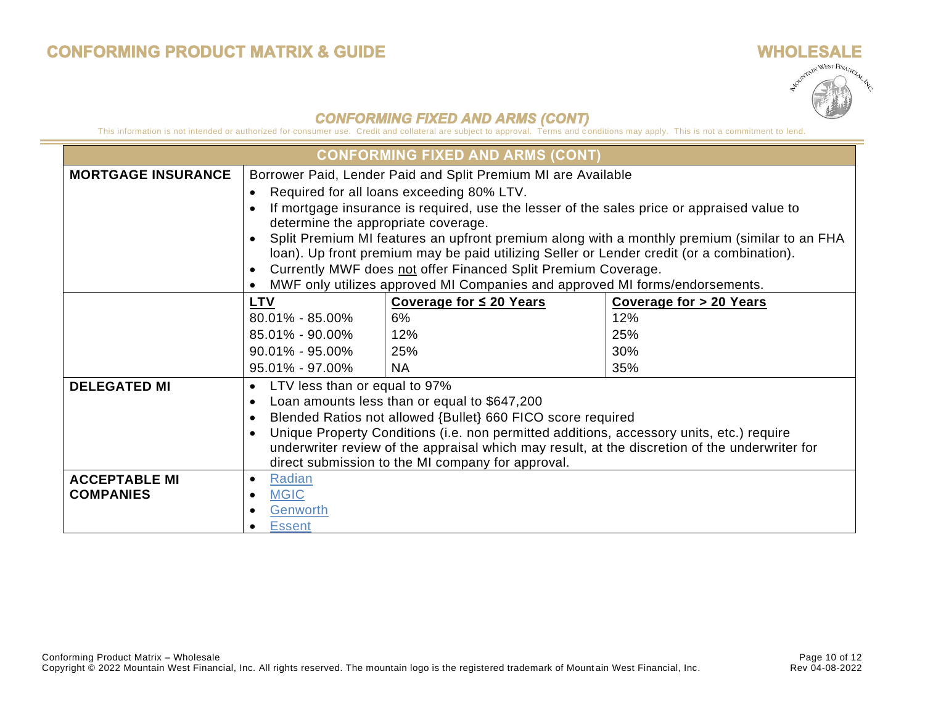

|                           |                                                                                                | <b>CONFORMING FIXED AND ARMS (CONT)</b>                                                    |                                                                                              |  |
|---------------------------|------------------------------------------------------------------------------------------------|--------------------------------------------------------------------------------------------|----------------------------------------------------------------------------------------------|--|
| <b>MORTGAGE INSURANCE</b> | Borrower Paid, Lender Paid and Split Premium MI are Available                                  |                                                                                            |                                                                                              |  |
|                           |                                                                                                | Required for all loans exceeding 80% LTV.                                                  |                                                                                              |  |
|                           |                                                                                                | If mortgage insurance is required, use the lesser of the sales price or appraised value to |                                                                                              |  |
|                           | determine the appropriate coverage.                                                            |                                                                                            |                                                                                              |  |
|                           |                                                                                                |                                                                                            | Split Premium MI features an upfront premium along with a monthly premium (similar to an FHA |  |
|                           |                                                                                                | loan). Up front premium may be paid utilizing Seller or Lender credit (or a combination).  |                                                                                              |  |
|                           |                                                                                                | Currently MWF does not offer Financed Split Premium Coverage.                              |                                                                                              |  |
|                           |                                                                                                | MWF only utilizes approved MI Companies and approved MI forms/endorsements.                |                                                                                              |  |
|                           | <b>LTV</b>                                                                                     | Coverage for ≤ 20 Years                                                                    | Coverage for > 20 Years                                                                      |  |
|                           | $80.01\% - 85.00\%$                                                                            | 6%                                                                                         | 12%                                                                                          |  |
|                           | 85.01% - 90.00%                                                                                | 12%                                                                                        | 25%                                                                                          |  |
|                           | $90.01\% - 95.00\%$                                                                            | 25%                                                                                        | 30%                                                                                          |  |
|                           | 95.01% - 97.00%                                                                                | <b>NA</b>                                                                                  | 35%                                                                                          |  |
| <b>DELEGATED MI</b>       | LTV less than or equal to 97%<br>$\bullet$                                                     |                                                                                            |                                                                                              |  |
|                           | Loan amounts less than or equal to \$647,200                                                   |                                                                                            |                                                                                              |  |
|                           | Blended Ratios not allowed {Bullet} 660 FICO score required                                    |                                                                                            |                                                                                              |  |
|                           | Unique Property Conditions (i.e. non permitted additions, accessory units, etc.) require       |                                                                                            |                                                                                              |  |
|                           | underwriter review of the appraisal which may result, at the discretion of the underwriter for |                                                                                            |                                                                                              |  |
|                           | direct submission to the MI company for approval.                                              |                                                                                            |                                                                                              |  |
| <b>ACCEPTABLE MI</b>      | Radian                                                                                         |                                                                                            |                                                                                              |  |
| <b>COMPANIES</b>          | <b>MGIC</b>                                                                                    |                                                                                            |                                                                                              |  |
|                           | Genworth                                                                                       |                                                                                            |                                                                                              |  |
|                           | <b>Essent</b>                                                                                  |                                                                                            |                                                                                              |  |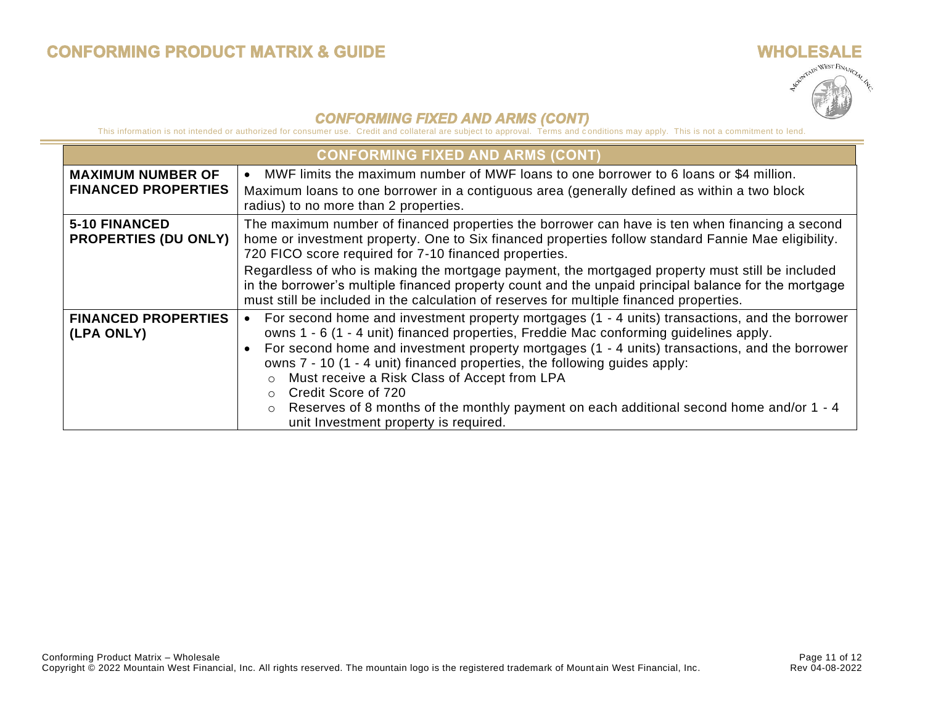

|                                                        | <b>CONFORMING FIXED AND ARMS (CONT)</b>                                                                                                                                                                                                                                                                                                                                                                                                                                                                                                                                           |  |  |  |
|--------------------------------------------------------|-----------------------------------------------------------------------------------------------------------------------------------------------------------------------------------------------------------------------------------------------------------------------------------------------------------------------------------------------------------------------------------------------------------------------------------------------------------------------------------------------------------------------------------------------------------------------------------|--|--|--|
| <b>MAXIMUM NUMBER OF</b><br><b>FINANCED PROPERTIES</b> | MWF limits the maximum number of MWF loans to one borrower to 6 loans or \$4 million.<br>Maximum loans to one borrower in a contiguous area (generally defined as within a two block<br>radius) to no more than 2 properties.                                                                                                                                                                                                                                                                                                                                                     |  |  |  |
| <b>5-10 FINANCED</b><br><b>PROPERTIES (DU ONLY)</b>    | The maximum number of financed properties the borrower can have is ten when financing a second<br>home or investment property. One to Six financed properties follow standard Fannie Mae eligibility.<br>720 FICO score required for 7-10 financed properties.                                                                                                                                                                                                                                                                                                                    |  |  |  |
|                                                        | Regardless of who is making the mortgage payment, the mortgaged property must still be included<br>in the borrower's multiple financed property count and the unpaid principal balance for the mortgage<br>must still be included in the calculation of reserves for multiple financed properties.                                                                                                                                                                                                                                                                                |  |  |  |
| <b>FINANCED PROPERTIES</b><br>(LPA ONLY)               | For second home and investment property mortgages (1 - 4 units) transactions, and the borrower<br>owns 1 - 6 (1 - 4 unit) financed properties, Freddie Mac conforming guidelines apply.<br>For second home and investment property mortgages (1 - 4 units) transactions, and the borrower<br>owns 7 - 10 (1 - 4 unit) financed properties, the following guides apply:<br>Must receive a Risk Class of Accept from LPA<br>Credit Score of 720<br>Reserves of 8 months of the monthly payment on each additional second home and/or 1 - 4<br>unit Investment property is required. |  |  |  |